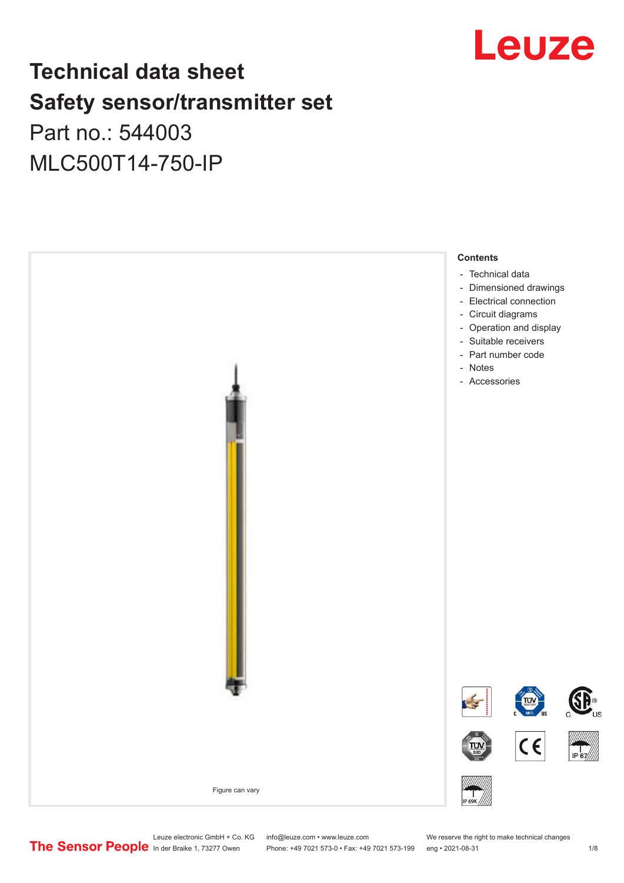

# **Technical data sheet Safety sensor/transmitter set**

Part no.: 544003 MLC500T14-750-IP



Leuze electronic GmbH + Co. KG info@leuze.com • www.leuze.com We reserve the right to make technical changes<br>
The Sensor People in der Braike 1, 73277 Owen Phone: +49 7021 573-0 • Fax: +49 7021 573-199 eng • 2021-08-31

Phone: +49 7021 573-0 • Fax: +49 7021 573-199 eng • 2021-08-31 1 2021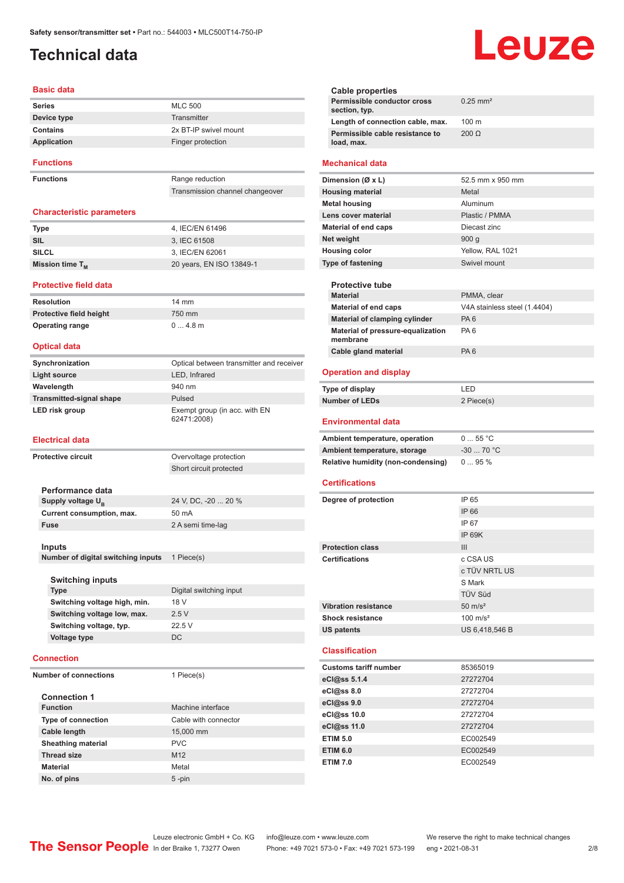### <span id="page-1-0"></span>**Technical data**

#### **Basic data**

| <b>Series</b>    | <b>MLC 500</b>        |
|------------------|-----------------------|
| Device type      | Transmitter           |
| Contains         | 2x BT-IP swivel mount |
| Application      | Finger protection     |
| <b>Functions</b> |                       |

**Functions** Range reduction

Transmission channel changeover

#### **Characteristic parameters**

| <b>Type</b>                 | 4. IEC/EN 61496          |
|-----------------------------|--------------------------|
| SIL                         | 3. IEC 61508             |
| <b>SILCL</b>                | 3, IEC/EN 62061          |
| Mission time T <sub>M</sub> | 20 years, EN ISO 13849-1 |

**Protective field height** 750 mm **Operating range** 0 ... 4.8 m

#### **Protective field data**

| <b>Resolution</b>              | $14 \text{ mm}$ |
|--------------------------------|-----------------|
| <b>Protective field height</b> | 750 mr          |
| <b>Operating range</b>         | 04.8            |

#### **Optical data**

| Synchronization                 | Optical between transmitter and receiver     |
|---------------------------------|----------------------------------------------|
| Light source                    | LED, Infrared                                |
| Wavelength                      | 940 nm                                       |
| <b>Transmitted-signal shape</b> | Pulsed                                       |
| LED risk group                  | Exempt group (in acc. with EN<br>62471:2008) |

#### **Electrical data**

| <b>Protective circuit</b>          | Overvoltage protection  |
|------------------------------------|-------------------------|
|                                    | Short circuit protected |
|                                    |                         |
| Performance data                   |                         |
| Supply voltage U <sub>B</sub>      | 24 V, DC, -20  20 %     |
| Current consumption, max.          | $50 \text{ mA}$         |
| <b>Fuse</b>                        | 2 A semi time-lag       |
|                                    |                         |
| <b>Inputs</b>                      |                         |
| Number of digital switching inputs | 1 Piece(s)              |
|                                    |                         |
| <b>Switching inputs</b>            |                         |
| <b>Type</b>                        | Digital switching input |
| Switching voltage high, min.       | 18 V                    |
| Switching voltage low, max.        | 2.5V                    |
| Switching voltage, typ.            | 22.5 V                  |
| Voltage type                       | <b>DC</b>               |
|                                    |                         |
| <b>Connection</b>                  |                         |
| <b>Number of connections</b>       | 1 Piece(s)              |
|                                    |                         |
| <b>Connection 1</b>                |                         |
| <b>Function</b>                    | Machine interface       |
| <b>Type of connection</b>          | Cable with connector    |
| Cable langth                       | $4500 \, \mathrm{mm}$   |

| <b>Type of connection</b> | Cable with connector |
|---------------------------|----------------------|
| Cable length              | 15,000 mm            |
| <b>Sheathing material</b> | <b>PVC</b>           |
| <b>Thread size</b>        | M <sub>12</sub>      |
| <b>Material</b>           | Metal                |
| No. of pins               | $5$ -pin             |
|                           |                      |

#### **Cable properties Permissible conductor cross section, typ.** 0.25 mm² **Length of connection cable, max.** 100 m **Permissible cable resistance to load, max.** 200 Ω **Mechanical data Dimension (Ø x L)** 52.5 mm x 950 mm **Housing material** Metal **Metal housing Aluminum Lens cover material Community Contract Plastic / PMMA Material of end caps** Diecast zinc **Net weight** 900 g **Housing color** Yellow, RAL 1021 **Type of fastening** Swivel mount **Protective tube PMMA** clear **Material of end caps** V4A stainless steel (1.4404) **Material of clamping cylinder** PA 6 **Material of pressure-equalization membrane** PA 6 **Cable gland material** PA 6 **Operation and display Type of display** LED **Number of LEDs** 2 Piece(s) **Environmental data** Ambient temperature, operation 0 ... 55 °C **Ambient temperature, storage** -30 ... 70 °C **Relative humidity (non-condensing)** 0 ... 95 % **Certifications Degree of protection** IP 65 IP 66 IP 67 IP 69K **Protection class III Certifications** c CSA US c TÜV NRTL US S Mark TÜV Süd **Vibration resistance** 50 m/s<sup>2</sup> **Shock resistance** 100 m/s<sup>2</sup> **US patents** US 6,418,546 B **Classification**

Leuze

| <b>Customs tariff number</b> | 85365019 |
|------------------------------|----------|
| eCl@ss 5.1.4                 | 27272704 |
| $eC/\omega$ ss 8.0           | 27272704 |
| eCl@ss 9.0                   | 27272704 |
| eCl@ss 10.0                  | 27272704 |
| eCl@ss 11.0                  | 27272704 |
| <b>ETIM 5.0</b>              | EC002549 |
| <b>ETIM 6.0</b>              | EC002549 |
| <b>ETIM 7.0</b>              | EC002549 |

Leuze electronic GmbH + Co. KG info@leuze.com • www.leuze.com We reserve the right to make technical changes<br>
The Sensor People in der Braike 1, 73277 Owen Phone: +49 7021 573-0 • Fax: +49 7021 573-199 eng • 2021-08-31

Phone: +49 7021 573-0 • Fax: +49 7021 573-199 eng • 2021-08-31 2/8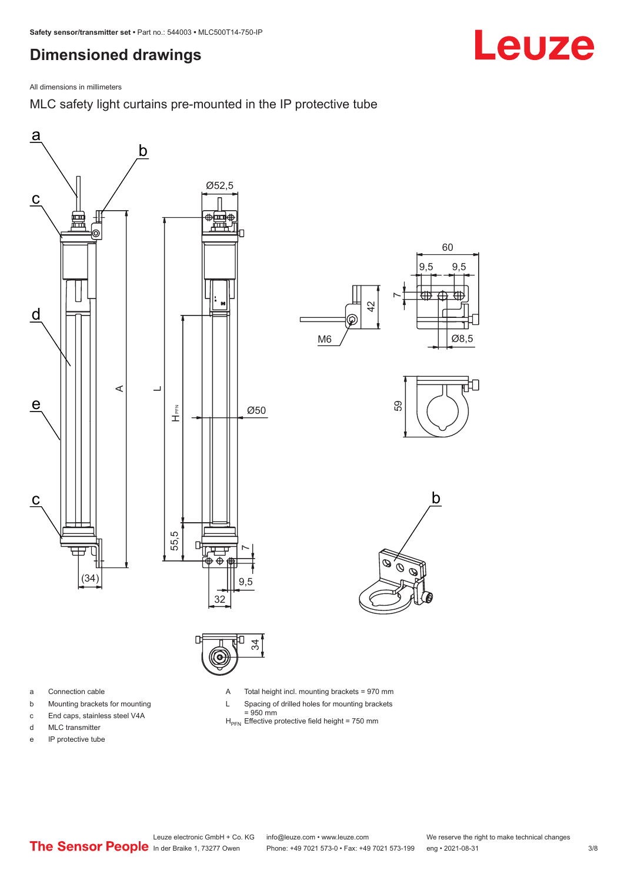### <span id="page-2-0"></span>**Dimensioned drawings**



MLC safety light curtains pre-mounted in the IP protective tube





- a Connection cable
- b Mounting brackets for mounting
- c End caps, stainless steel V4A
- d MLC transmitter
- e IP protective tube

A Total height incl. mounting brackets = 970 mm

- L Spacing of drilled holes for mounting brackets
- $= 950$  mm
- $H_{\text{PEN}}$  Effective protective field height = 750 mm

Leuze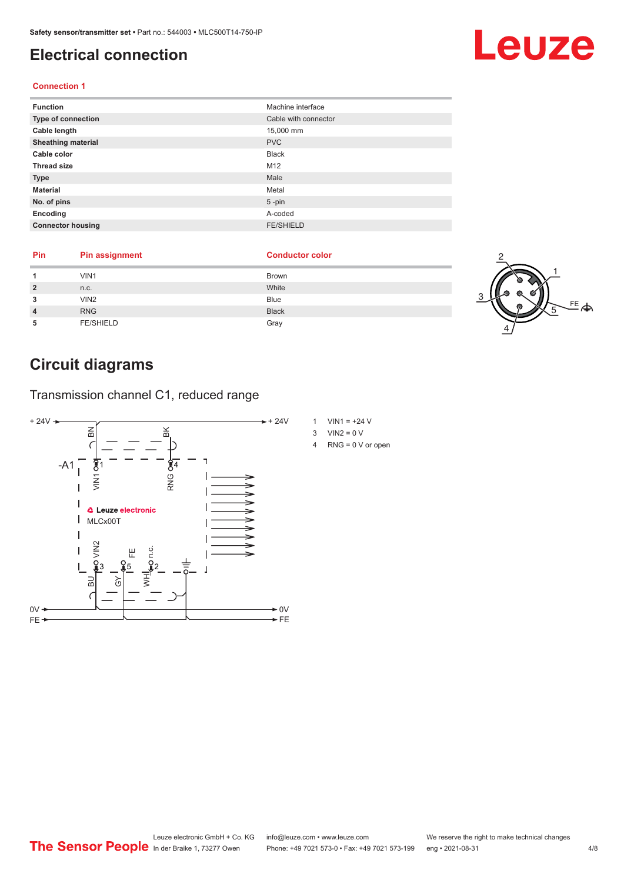#### <span id="page-3-0"></span>**Electrical connection**

#### **Connection 1**

| <b>Function</b>           | Machine interface    |
|---------------------------|----------------------|
| Type of connection        | Cable with connector |
| Cable length              | 15,000 mm            |
| <b>Sheathing material</b> | <b>PVC</b>           |
| Cable color               | <b>Black</b>         |
| <b>Thread size</b>        | M12                  |
| <b>Type</b>               | Male                 |
| <b>Material</b>           | Metal                |
| No. of pins               | $5$ -pin             |
| Encoding                  | A-coded              |
| <b>Connector housing</b>  | <b>FE/SHIELD</b>     |

| Pin | <b>Pin assignment</b> | <b>Conductor color</b> |  |
|-----|-----------------------|------------------------|--|
|     | VIN1                  | <b>Brown</b>           |  |
|     | n.c.                  | White                  |  |
|     | VIN <sub>2</sub>      | <b>Blue</b>            |  |
|     | <b>RNG</b>            | <b>Black</b>           |  |
|     | <b>FE/SHIELD</b>      | Gray                   |  |

# **Circuit diagrams**

Transmission channel C1, reduced range



- 1 VIN1 =  $+24$  V
- $3$  VIN2 = 0 V
- 4 RNG = 0 V or open



上<br>全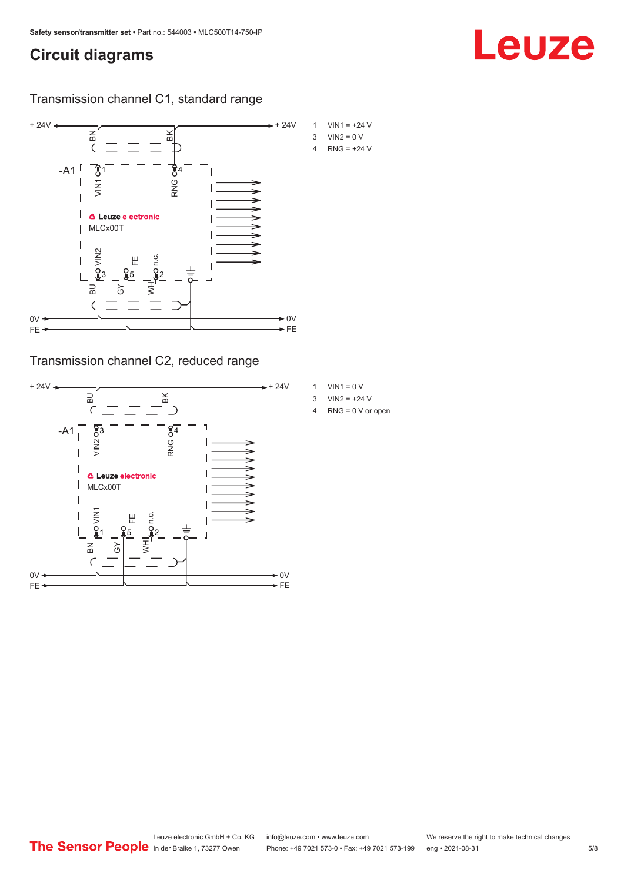#### **Circuit diagrams**

Transmission channel C1, standard range



Transmission channel C2, reduced range



- 1 VIN1 =  $0 V$
- 3  $VIN2 = +24 V$
- 4 RNG = 0 V or open

Leuze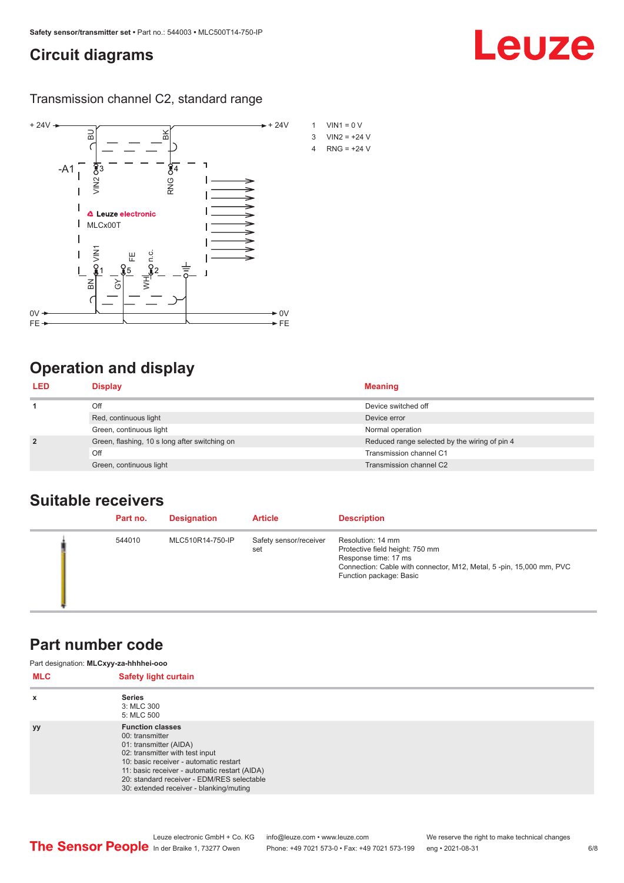#### <span id="page-5-0"></span>**Circuit diagrams**

Transmission channel C2, standard range



# **Operation and display**

| <b>LED</b>     | <b>Display</b>                                | <b>Meaning</b>                                |
|----------------|-----------------------------------------------|-----------------------------------------------|
|                | Off                                           | Device switched off                           |
|                | Red, continuous light                         | Device error                                  |
|                | Green, continuous light                       | Normal operation                              |
| $\overline{2}$ | Green, flashing, 10 s long after switching on | Reduced range selected by the wiring of pin 4 |
|                | Off                                           | Transmission channel C1                       |
|                | Green, continuous light                       | Transmission channel C2                       |

#### **Suitable receivers**

| Part no. | <b>Designation</b> | <b>Article</b>                | <b>Description</b>                                                                                                                                                             |
|----------|--------------------|-------------------------------|--------------------------------------------------------------------------------------------------------------------------------------------------------------------------------|
| 544010   | MLC510R14-750-IP   | Safety sensor/receiver<br>set | Resolution: 14 mm<br>Protective field height: 750 mm<br>Response time: 17 ms<br>Connection: Cable with connector, M12, Metal, 5-pin, 15,000 mm, PVC<br>Function package: Basic |

#### **Part number code**

| Part designation: MLCxyy-za-hhhhei-ooo |                                                                                                                                                                                                                                                                                             |  |  |
|----------------------------------------|---------------------------------------------------------------------------------------------------------------------------------------------------------------------------------------------------------------------------------------------------------------------------------------------|--|--|
| <b>MLC</b>                             | <b>Safety light curtain</b>                                                                                                                                                                                                                                                                 |  |  |
| $\boldsymbol{\mathsf{x}}$              | <b>Series</b><br>3: MLC 300<br>5: MLC 500                                                                                                                                                                                                                                                   |  |  |
| <b>yy</b>                              | <b>Function classes</b><br>00: transmitter<br>01: transmitter (AIDA)<br>02: transmitter with test input<br>10: basic receiver - automatic restart<br>11: basic receiver - automatic restart (AIDA)<br>20: standard receiver - EDM/RES selectable<br>30: extended receiver - blanking/muting |  |  |

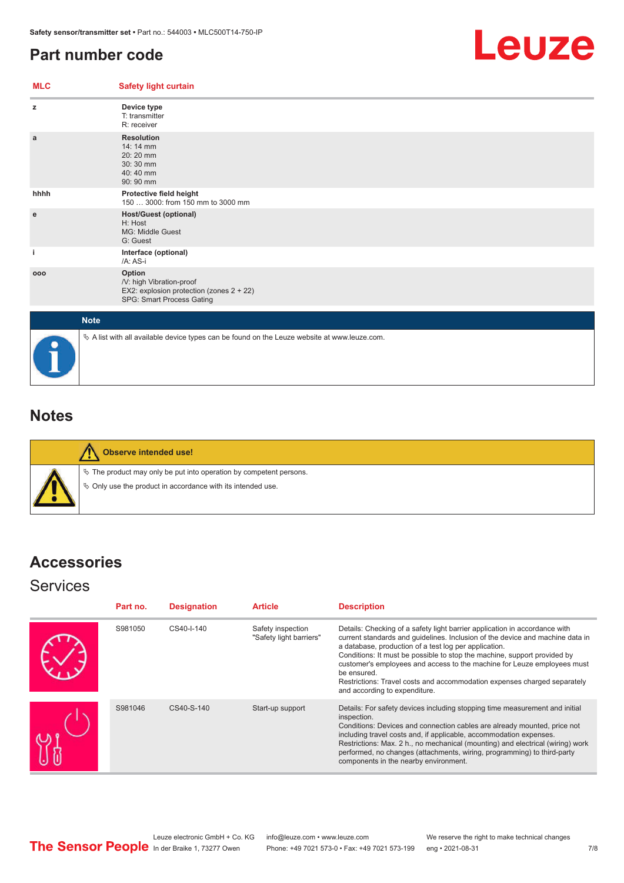### <span id="page-6-0"></span>**Part number code**



| <b>MLC</b> | <b>Safety light curtain</b>                                                                                 |  |  |  |  |
|------------|-------------------------------------------------------------------------------------------------------------|--|--|--|--|
| z          | Device type<br>T: transmitter<br>R: receiver                                                                |  |  |  |  |
| a          | <b>Resolution</b><br>14: 14 mm<br>20:20 mm<br>30:30 mm<br>40:40 mm<br>90: 90 mm                             |  |  |  |  |
| hhhh       | Protective field height<br>150  3000: from 150 mm to 3000 mm                                                |  |  |  |  |
| ${\bf e}$  | <b>Host/Guest (optional)</b><br>H: Host<br>MG: Middle Guest<br>G: Guest                                     |  |  |  |  |
| j.         | Interface (optional)<br>/A: AS-i                                                                            |  |  |  |  |
| 000        | Option<br>/V: high Vibration-proof<br>EX2: explosion protection (zones 2 + 22)<br>SPG: Smart Process Gating |  |  |  |  |
|            | <b>Note</b>                                                                                                 |  |  |  |  |
|            | $\&$ A list with all available device types can be found on the Leuze website at www.leuze.com.             |  |  |  |  |

### **Notes**

**Observe intended use!**  $\%$  The product may only be put into operation by competent persons.  $\%$  Only use the product in accordance with its intended use.

## **Accessories**

#### **Services**

| Part no. | <b>Designation</b> | <b>Article</b>                               | <b>Description</b>                                                                                                                                                                                                                                                                                                                                                                                                                                                                                      |
|----------|--------------------|----------------------------------------------|---------------------------------------------------------------------------------------------------------------------------------------------------------------------------------------------------------------------------------------------------------------------------------------------------------------------------------------------------------------------------------------------------------------------------------------------------------------------------------------------------------|
| S981050  | CS40-I-140         | Safety inspection<br>"Safety light barriers" | Details: Checking of a safety light barrier application in accordance with<br>current standards and quidelines. Inclusion of the device and machine data in<br>a database, production of a test log per application.<br>Conditions: It must be possible to stop the machine, support provided by<br>customer's employees and access to the machine for Leuze employees must<br>be ensured.<br>Restrictions: Travel costs and accommodation expenses charged separately<br>and according to expenditure. |
| S981046  | CS40-S-140         | Start-up support                             | Details: For safety devices including stopping time measurement and initial<br>inspection.<br>Conditions: Devices and connection cables are already mounted, price not<br>including travel costs and, if applicable, accommodation expenses.<br>Restrictions: Max. 2 h., no mechanical (mounting) and electrical (wiring) work<br>performed, no changes (attachments, wiring, programming) to third-party<br>components in the nearby environment.                                                      |